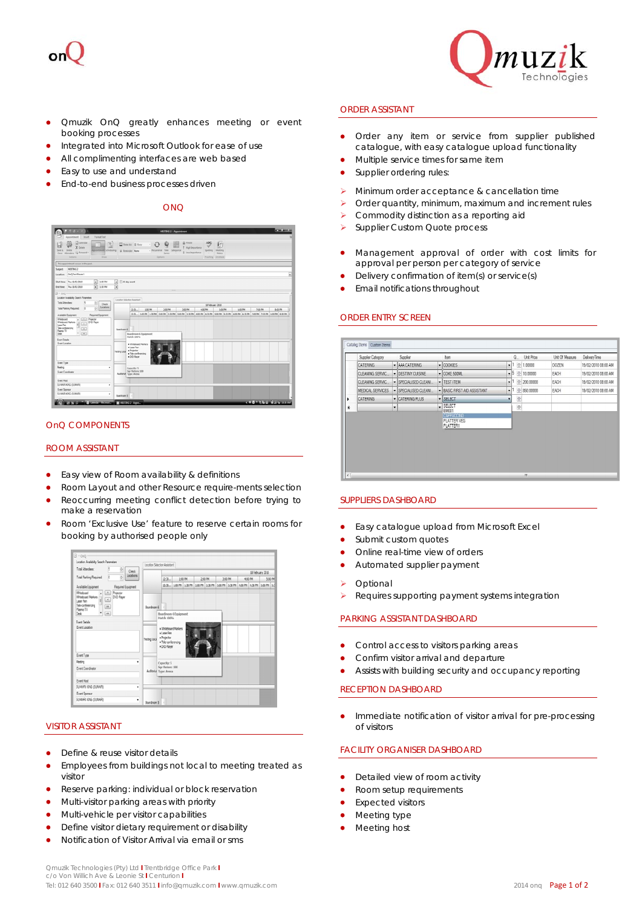



- Qmuzik OnQ greatly enhances meeting or event booking processes
- Integrated into Microsoft Outlook for ease of use
- All complimenting interfaces are web based
- **Easy to use and understand**
- End-to-end business processes driven

ONQ



# OnQ COMPONENTS

#### ROOM ASSISTANT

- Easy view of Room availability & definitions
- Room Layout and other Resource require-ments selection
- Reoccurring meeting conflict detection before trying to make a reservation
- Room 'Exclusive Use' feature to reserve certain rooms for booking by authorised people only

| 15<br>÷.<br>Total Attendees:<br><b>Check</b>                                                                                                    | Location Selection Assistant |                                                                   |                              |         |  |         |  |         |                                                                 |                             |  |  |
|-------------------------------------------------------------------------------------------------------------------------------------------------|------------------------------|-------------------------------------------------------------------|------------------------------|---------|--|---------|--|---------|-----------------------------------------------------------------|-----------------------------|--|--|
| Locations<br>쉬<br>ø<br>Total Parking Required:                                                                                                  |                              | 12.30<br>1:00 PM                                                  |                              | 2:00 PM |  | 3:00 PM |  | 4:00 PM |                                                                 | 18 February 2010<br>5:00 PM |  |  |
|                                                                                                                                                 |                              |                                                                   |                              |         |  |         |  |         | 1230 100 PM 130 PM 230 PM 230 PM 330 PM 430 PM 430 PM 530 PM 53 |                             |  |  |
| <b>Required Equipment</b><br>Available Equipment<br><b>Whitehoard</b><br><b>A. Projector</b>                                                    |                              |                                                                   |                              |         |  |         |  |         |                                                                 |                             |  |  |
| DVD Player<br><b>Whiteboard Markers</b><br>$\epsilon$<br>Laser Pen<br>Tele-conferencing<br>$\overline{10}$<br>Plasma TV<br>$_{\rm{ex}}$<br>Desk | Boardroom 6                  | Match 100%                                                        | <b>Boardroom 6 Equipment</b> |         |  |         |  |         |                                                                 |                             |  |  |
| Ford Details<br>Event Location                                                                                                                  | Testing Local                | · Laser Pen<br>· Projector<br>· Tele-conferencing<br>. DIO Player | · Uniterboard Markers        |         |  |         |  |         |                                                                 |                             |  |  |
| Event Type                                                                                                                                      |                              |                                                                   |                              |         |  |         |  |         |                                                                 |                             |  |  |
| Meeting<br>٠                                                                                                                                    |                              | Capacity: 5                                                       |                              |         |  |         |  |         |                                                                 |                             |  |  |
| <b>Event Coordinator</b>                                                                                                                        | Auditorius Type: Arena       | Sor Hebrec 100                                                    |                              |         |  |         |  |         |                                                                 |                             |  |  |
| Eyent Host                                                                                                                                      |                              |                                                                   |                              |         |  |         |  |         |                                                                 |                             |  |  |
| SUMARI KING (SUMARI)<br>٠                                                                                                                       |                              |                                                                   |                              |         |  |         |  |         |                                                                 |                             |  |  |
| Event Sponsor                                                                                                                                   |                              |                                                                   |                              |         |  |         |  |         |                                                                 |                             |  |  |
| SUMARI KING (SUMAR)<br>٠                                                                                                                        | Spandroom 5                  |                                                                   |                              |         |  |         |  |         |                                                                 |                             |  |  |

### VISITOR ASSISTANT

- Define & reuse visitor details
- Employees from buildings not local to meeting treated as visitor
- Reserve parking: individual or block reservation
- Multi-visitor parking areas with priority
- **•** Multi-vehicle per visitor capabilities
- Define visitor dietary requirement or disability
- Notification of Visitor Arrival via email or sms

#### ORDER ASSISTANT

- Order any item or service from supplier published catalogue, with easy catalogue upload functionality
- Multiple service times for same item
- Supplier ordering rules:
- Minimum order acceptance & cancellation time
- Order quantity, minimum, maximum and increment rules
- Commodity distinction as a reporting aid
- Supplier Custom Quote process
- Management approval of order with cost limits for approval per person per category of service
- Delivery confirmation of item(s) or service(s)
- Email notifications throughout

#### ORDER ENTRY SCREEN



# SUPPLIERS DASHBOARD

- Easy catalogue upload from Microsoft Excel
- Submit custom quotes
- Online real-time view of orders
- Automated supplier payment
- Optional
- Requires supporting payment systems integration

# PARKING ASSISTANT DASHBOARD

- Control access to visitors parking areas
- Confirm visitor arrival and departure
- Assists with building security and occupancy reporting

#### RECEPTION DASHBOARD

 Immediate notification of visitor arrival for pre-processing of visitors

# FACILITY ORGANISER DASHBOARD

- Detailed view of room activity
- Room setup requirements
- Expected visitors
- Meeting type
- Meeting host